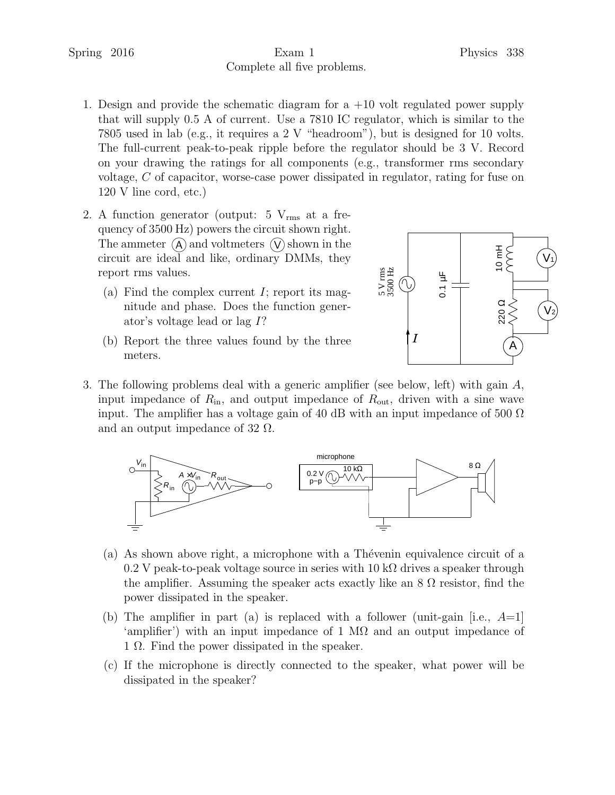## Spring 2016 **Exam 1** Physics 338 Complete all five problems.

- 1. Design and provide the schematic diagram for a +10 volt regulated power supply that will supply 0.5 A of current. Use a 7810 IC regulator, which is similar to the 7805 used in lab (e.g., it requires a 2 V "headroom"), but is designed for 10 volts. The full-current peak-to-peak ripple before the regulator should be 3 V. Record on your drawing the ratings for all components (e.g., transformer rms secondary voltage, C of capacitor, worse-case power dissipated in regulator, rating for fuse on 120 V line cord, etc.)
- 2. A function generator (output:  $5 V_{rms}$  at a frequency of 3500 Hz) powers the circuit shown right. The ammeter  $\overline{A}$  and voltmeters  $\overline{V}$  shown in the circuit are ideal and like, ordinary DMMs, they report rms values.
	- (a) Find the complex current  $I$ ; report its magnitude and phase. Does the function generator's voltage lead or lag I?
	- (b) Report the three values found by the three meters.



3. The following problems deal with a generic amplifier (see below, left) with gain A, input impedance of  $R_{\rm in}$ , and output impedance of  $R_{\rm out}$ , driven with a sine wave input. The amplifier has a voltage gain of 40 dB with an input impedance of 500  $\Omega$ and an output impedance of 32  $\Omega$ .



- (a) As shown above right, a microphone with a Thévenin equivalence circuit of a 0.2 V peak-to-peak voltage source in series with  $10 \text{ k}\Omega$  drives a speaker through the amplifier. Assuming the speaker acts exactly like an  $8 \Omega$  resistor, find the power dissipated in the speaker.
- (b) The amplifier in part (a) is replaced with a follower (unit-gain [i.e.,  $A=1$ ] 'amplifier') with an input impedance of 1 M $\Omega$  and an output impedance of 1 Ω. Find the power dissipated in the speaker.
- (c) If the microphone is directly connected to the speaker, what power will be dissipated in the speaker?